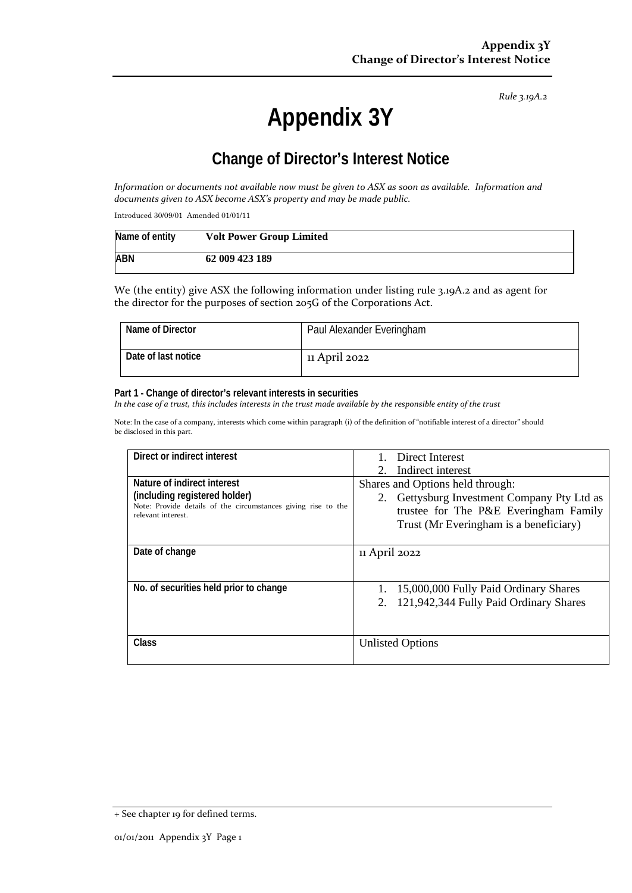*Rule 3.19A.2*

# **Appendix 3Y**

# **Change of Director's Interest Notice**

*Information or documents not available now must be given to ASX as soon as available. Information and documents given to ASX become ASX's property and may be made public.*

Introduced 30/09/01 Amended 01/01/11

| Name of entity | <b>Volt Power Group Limited</b> |
|----------------|---------------------------------|
| <b>ABN</b>     | 62 009 423 189                  |

We (the entity) give ASX the following information under listing rule 3.19A.2 and as agent for the director for the purposes of section 205G of the Corporations Act.

| Name of Director    | Paul Alexander Everingham |
|---------------------|---------------------------|
| Date of last notice | 11 April 2022             |

#### **Part 1 - Change of director's relevant interests in securities**

*In the case of a trust, this includes interests in the trust made available by the responsible entity of the trust*

Note: In the case of a company, interests which come within paragraph (i) of the definition of "notifiable interest of a director" should be disclosed in this part.

| Direct or indirect interest                                                                                                                         | Direct Interest<br>2. Indirect interest                                                                                                                            |
|-----------------------------------------------------------------------------------------------------------------------------------------------------|--------------------------------------------------------------------------------------------------------------------------------------------------------------------|
| Nature of indirect interest<br>(including registered holder)<br>Note: Provide details of the circumstances giving rise to the<br>relevant interest. | Shares and Options held through:<br>2. Gettysburg Investment Company Pty Ltd as<br>trustee for The P&E Everingham Family<br>Trust (Mr Everingham is a beneficiary) |
| Date of change                                                                                                                                      | 11 April 2022                                                                                                                                                      |
| No. of securities held prior to change                                                                                                              | 15,000,000 Fully Paid Ordinary Shares<br>2. 121,942,344 Fully Paid Ordinary Shares                                                                                 |
| Class                                                                                                                                               | <b>Unlisted Options</b>                                                                                                                                            |

<sup>+</sup> See chapter 19 for defined terms.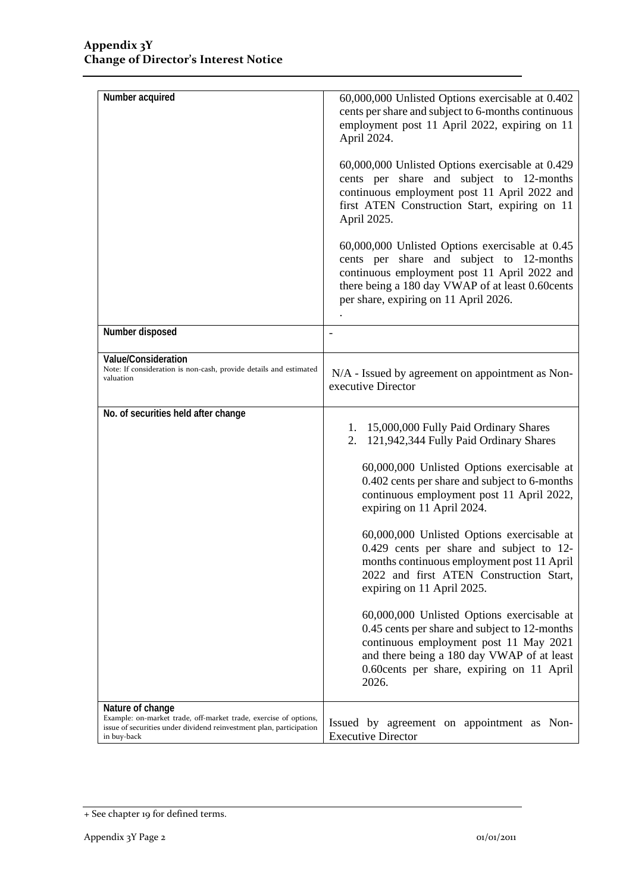| Number acquired                                                                                                                                                            | 60,000,000 Unlisted Options exercisable at 0.402<br>cents per share and subject to 6-months continuous<br>employment post 11 April 2022, expiring on 11<br>April 2024.                                                                                                                                                                                                                                                                                                                                                                                                                                                                                                                                                         |  |  |
|----------------------------------------------------------------------------------------------------------------------------------------------------------------------------|--------------------------------------------------------------------------------------------------------------------------------------------------------------------------------------------------------------------------------------------------------------------------------------------------------------------------------------------------------------------------------------------------------------------------------------------------------------------------------------------------------------------------------------------------------------------------------------------------------------------------------------------------------------------------------------------------------------------------------|--|--|
|                                                                                                                                                                            | 60,000,000 Unlisted Options exercisable at 0.429<br>cents per share and subject to 12-months<br>continuous employment post 11 April 2022 and<br>first ATEN Construction Start, expiring on 11<br>April 2025.                                                                                                                                                                                                                                                                                                                                                                                                                                                                                                                   |  |  |
|                                                                                                                                                                            | 60,000,000 Unlisted Options exercisable at 0.45<br>cents per share and subject to 12-months<br>continuous employment post 11 April 2022 and<br>there being a 180 day VWAP of at least 0.60cents<br>per share, expiring on 11 April 2026.                                                                                                                                                                                                                                                                                                                                                                                                                                                                                       |  |  |
| Number disposed                                                                                                                                                            |                                                                                                                                                                                                                                                                                                                                                                                                                                                                                                                                                                                                                                                                                                                                |  |  |
| Value/Consideration<br>Note: If consideration is non-cash, provide details and estimated<br>valuation                                                                      | N/A - Issued by agreement on appointment as Non-<br>executive Director                                                                                                                                                                                                                                                                                                                                                                                                                                                                                                                                                                                                                                                         |  |  |
| No. of securities held after change                                                                                                                                        | 1. 15,000,000 Fully Paid Ordinary Shares<br>2. 121,942,344 Fully Paid Ordinary Shares<br>60,000,000 Unlisted Options exercisable at<br>0.402 cents per share and subject to 6-months<br>continuous employment post 11 April 2022,<br>expiring on 11 April 2024.<br>60,000,000 Unlisted Options exercisable at<br>0.429 cents per share and subject to 12-<br>months continuous employment post 11 April<br>2022 and first ATEN Construction Start,<br>expiring on 11 April 2025.<br>60,000,000 Unlisted Options exercisable at<br>0.45 cents per share and subject to 12-months<br>continuous employment post 11 May 2021<br>and there being a 180 day VWAP of at least<br>0.60 cents per share, expiring on 11 April<br>2026. |  |  |
| Nature of change<br>Example: on-market trade, off-market trade, exercise of options,<br>issue of securities under dividend reinvestment plan, participation<br>in buy-back | Issued by agreement on appointment as Non-<br><b>Executive Director</b>                                                                                                                                                                                                                                                                                                                                                                                                                                                                                                                                                                                                                                                        |  |  |

<sup>+</sup> See chapter 19 for defined terms.